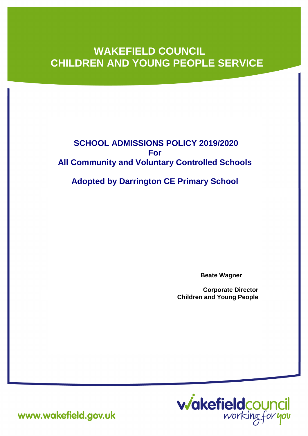# **WAKEFIELD COUNCIL CHILDREN AND YOUNG PEOPLE SERVICE**

# **SCHOOL ADMISSIONS POLICY 2019/2020 For All Community and Voluntary Controlled Schools**

**Adopted by Darrington CE Primary School**

**Beate Wagner**

**Corporate Director Children and Young People**



www.wakefield.gov.uk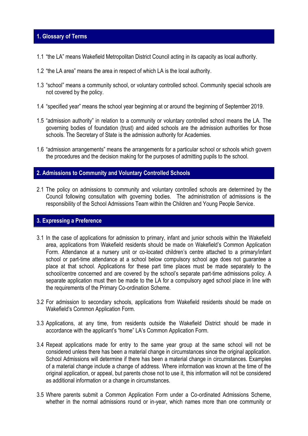# **1. Glossary of Terms**

- 1.1 "the LA" means Wakefield Metropolitan District Council acting in its capacity as local authority.
- 1.2 "the LA area" means the area in respect of which LA is the local authority.
- 1.3 "school" means a community school, or voluntary controlled school. Community special schools are not covered by the policy.
- 1.4 "specified year" means the school year beginning at or around the beginning of September 2019.
- 1.5 "admission authority" in relation to a community or voluntary controlled school means the LA. The governing bodies of foundation (trust) and aided schools are the admission authorities for those schools. The Secretary of State is the admission authority for Academies.
- 1.6 "admission arrangements" means the arrangements for a particular school or schools which govern the procedures and the decision making for the purposes of admitting pupils to the school.

#### **2. Admissions to Community and Voluntary Controlled Schools**

2.1 The policy on admissions to community and voluntary controlled schools are determined by the Council following consultation with governing bodies. The administration of admissions is the responsibility of the School Admissions Team within the Children and Young People Service.

# **3. Expressing a Preference**

- 3.1 In the case of applications for admission to primary, infant and junior schools within the Wakefield area, applications from Wakefield residents should be made on Wakefield's Common Application Form. Attendance at a nursery unit or co-located children's centre attached to a primary/infant school or part-time attendance at a school below compulsory school age does not guarantee a place at that school. Applications for these part time places must be made separately to the school/centre concerned and are covered by the school's separate part-time admissions policy. A separate application must then be made to the LA for a compulsory aged school place in line with the requirements of the Primary Co-ordination Scheme.
- 3.2 For admission to secondary schools, applications from Wakefield residents should be made on Wakefield's Common Application Form.
- 3.3 Applications, at any time, from residents outside the Wakefield District should be made in accordance with the applicant's "home" LA's Common Application Form.
- 3.4 Repeat applications made for entry to the same year group at the same school will not be considered unless there has been a material change in circumstances since the original application. School Admissions will determine if there has been a material change in circumstances. Examples of a material change include a change of address. Where information was known at the time of the original application, or appeal, but parents chose not to use it, this information will not be considered as additional information or a change in circumstances.
- 3.5 Where parents submit a Common Application Form under a Co-ordinated Admissions Scheme, whether in the normal admissions round or in-year, which names more than one community or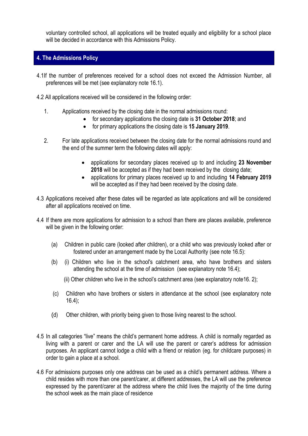voluntary controlled school, all applications will be treated equally and eligibility for a school place will be decided in accordance with this Admissions Policy.

# **4. The Admissions Policy**

- 4.1If the number of preferences received for a school does not exceed the Admission Number, all preferences will be met (see explanatory note 16.1).
- 4.2 All applications received will be considered in the following order:
	- 1. Applications received by the closing date in the normal admissions round:
		- for secondary applications the closing date is **31 October 2018**; and
		- for primary applications the closing date is **15 January 2019**.
	- 2. For late applications received between the closing date for the normal admissions round and the end of the summer term the following dates will apply:
		- applications for secondary places received up to and including **23 November 2018** will be accepted as if they had been received by the closing date;
		- applications for primary places received up to and including **14 February 2019** will be accepted as if they had been received by the closing date.
- 4.3 Applications received after these dates will be regarded as late applications and will be considered after all applications received on time.
- 4.4 If there are more applications for admission to a school than there are places available, preference will be given in the following order:
	- (a) Children in public care (looked after children), or a child who was previously looked after or fostered under an arrangement made by the Local Authority (see note 16.5):
	- (b) (i) Children who live in the school's catchment area, who have brothers and sisters attending the school at the time of admission (see explanatory note 16.4);
		- (ii) Other children who live in the school's catchment area (see explanatory note16. 2);
	- (c) Children who have brothers or sisters in attendance at the school (see explanatory note  $16.4$ ;
	- (d) Other children, with priority being given to those living nearest to the school.
- 4.5 In all categories "live" means the child's permanent home address. A child is normally regarded as living with a parent or carer and the LA will use the parent or carer's address for admission purposes. An applicant cannot lodge a child with a friend or relation (eg. for childcare purposes) in order to gain a place at a school.
- 4.6 For admissions purposes only one address can be used as a child's permanent address. Where a child resides with more than one parent/carer, at different addresses, the LA will use the preference expressed by the parent/carer at the address where the child lives the majority of the time during the school week as the main place of residence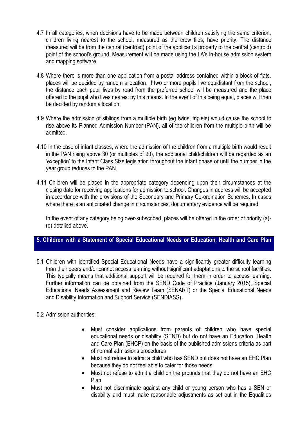- 4.7 In all categories, when decisions have to be made between children satisfying the same criterion, children living nearest to the school, measured as the crow flies, have priority. The distance measured will be from the central (centroid) point of the applicant's property to the central (centroid) point of the school's ground. Measurement will be made using the LA's in-house admission system and mapping software.
- 4.8 Where there is more than one application from a postal address contained within a block of flats, places will be decided by random allocation. If two or more pupils live equidistant from the school, the distance each pupil lives by road from the preferred school will be measured and the place offered to the pupil who lives nearest by this means. In the event of this being equal, places will then be decided by random allocation.
- 4.9 Where the admission of siblings from a multiple birth (eg twins, triplets) would cause the school to rise above its Planned Admission Number (PAN), all of the children from the multiple birth will be admitted.
- 4.10 In the case of infant classes, where the admission of the children from a multiple birth would result in the PAN rising above 30 (or multiples of 30), the additional child/children will be regarded as an 'exception' to the Infant Class Size legislation throughout the infant phase or until the number in the year group reduces to the PAN.
- 4.11 Children will be placed in the appropriate category depending upon their circumstances at the closing date for receiving applications for admission to school. Changes in address will be accepted in accordance with the provisions of the Secondary and Primary Co-ordination Schemes. In cases where there is an anticipated change in circumstances, documentary evidence will be required.

In the event of any category being over-subscribed, places will be offered in the order of priority (a)-(d) detailed above.

# **5. Children with a Statement of Special Educational Needs or Education, Health and Care Plan**

- 5.1 Children with identified Special Educational Needs have a significantly greater difficulty learning than their peers and/or cannot access learning without significant adaptations to the school facilities. This typically means that additional support will be required for them in order to access learning. Further information can be obtained from the SEND Code of Practice (January 2015), Special Educational Needs Assessment and Review Team (SENART) or the Special Educational Needs and Disability Information and Support Service (SENDIASS).
- 5.2 Admission authorities:
	- Must consider applications from parents of children who have special educational needs or disability (SEND) but do not have an Education, Health and Care Plan (EHCP) on the basis of the published admissions criteria as part of normal admissions procedures
	- Must not refuse to admit a child who has SEND but does not have an EHC Plan because they do not feel able to cater for those needs
	- Must not refuse to admit a child on the grounds that they do not have an EHC Plan
	- Must not discriminate against any child or young person who has a SEN or disability and must make reasonable adjustments as set out in the Equalities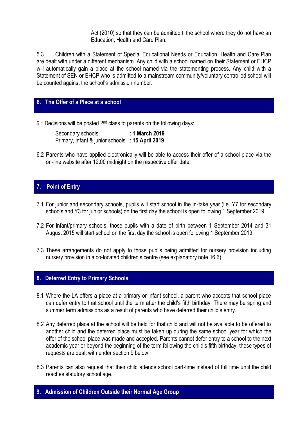Act (2010) so that they can be admitted ti the school where they do not have an Education, Health and Care Plan.

5.3 Children with a Statement of Special Educational Needs or Education, Health and Care Plan are dealt with under a different mechanism. Any child with a school named on their Statement or EHCP will automatically gain a place at the school named via the statementing process. Any child with a Statement of SEN or EHCP who is admitted to a mainstream community/voluntary controlled school will be counted against the school's admission number.

# **6. The Offer of a Place at a school**

6.1 Decisions will be posted 2nd class to parents on the following days:

Secondary schools : **1 March 2019** Primary, infant & junior schools : **15 April 2019**

6.2 Parents who have applied electronically will be able to access their offer of a school place via the on-line website after 12.00 midnight on the respective offer date.

# **7. Point of Entry**

- 7.1 For junior and secondary schools, pupils will start school in the in-take year (i.e. Y7 for secondary schools and Y3 for junior schools) on the first day the school is open following 1 September 2019.
- 7.2 For infant/primary schools, those pupils with a date of birth between 1 September 2014 and 31 August 2015 will start school on the first day the school is open following 1 September 2019.
- 7.3 These arrangements do not apply to those pupils being admitted for nursery provision including nursery provision in a co-located children's centre (see explanatory note 16.6).

# **8. Deferred Entry to Primary Schools**

- 8.1 Where the LA offers a place at a primary or infant school, a parent who accepts that school place can defer entry to that school until the term after the child's fifth birthday. There may be spring and summer term admissions as a result of parents who have deferred their child's entry.
- 8.2 Any deferred place at the school will be held for that child and will not be available to be offered to another child and the deferred place must be taken up during the same school year for which the offer of the school place was made and accepted. Parents cannot defer entry to a school to the next academic year or beyond the beginning of the term following the child's fifth birthday, these types of requests are dealt with under section 9 below.
- 8.3 Parents can also request that their child attends school part-time instead of full time until the child reaches statutory school age.

# **9. Admission of Children Outside their Normal Age Group**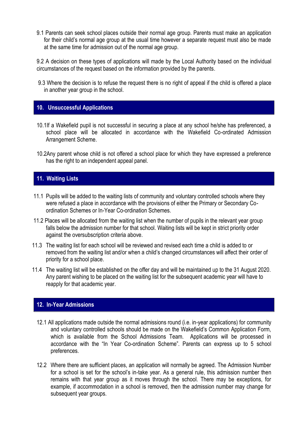9.1 Parents can seek school places outside their normal age group. Parents must make an application for their child's normal age group at the usual time however a separate request must also be made at the same time for admission out of the normal age group.

9.2 A decision on these types of applications will made by the Local Authority based on the individual circumstances of the request based on the information provided by the parents.

 9.3 Where the decision is to refuse the request there is no right of appeal if the child is offered a place in another year group in the school.

# **10. Unsuccessful Applications**

- 10.1If a Wakefield pupil is not successful in securing a place at any school he/she has preferenced, a school place will be allocated in accordance with the Wakefield Co-ordinated Admission Arrangement Scheme.
- 10.2Any parent whose child is not offered a school place for which they have expressed a preference has the right to an independent appeal panel.

# **11. Waiting Lists**

- 11.1 Pupils will be added to the waiting lists of community and voluntary controlled schools where they were refused a place in accordance with the provisions of either the Primary or Secondary Coordination Schemes or In-Year Co-ordination Schemes.
- 11.2 Places will be allocated from the waiting list when the number of pupils in the relevant year group falls below the admission number for that school. Waiting lists will be kept in strict priority order against the oversubscription criteria above.
- 11.3 The waiting list for each school will be reviewed and revised each time a child is added to or removed from the waiting list and/or when a child's changed circumstances will affect their order of priority for a school place.
- 11.4 The waiting list will be established on the offer day and will be maintained up to the 31 August 2020. Any parent wishing to be placed on the waiting list for the subsequent academic year will have to reapply for that academic year.

# **12. In-Year Admissions**

- 12.1 All applications made outside the normal admissions round (i.e. in-year applications) for community and voluntary controlled schools should be made on the Wakefield's Common Application Form, which is available from the School Admissions Team. Applications will be processed in accordance with the "In Year Co-ordination Scheme". Parents can express up to 5 school preferences.
- 12.2 Where there are sufficient places, an application will normally be agreed. The Admission Number for a school is set for the school's in-take year. As a general rule, this admission number then remains with that year group as it moves through the school. There may be exceptions, for example, if accommodation in a school is removed, then the admission number may change for subsequent year groups.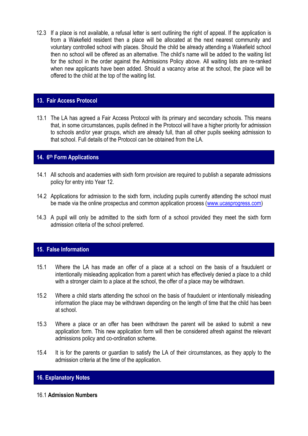12.3 If a place is not available, a refusal letter is sent outlining the right of appeal. If the application is from a Wakefield resident then a place will be allocated at the next nearest community and voluntary controlled school with places. Should the child be already attending a Wakefield school then no school will be offered as an alternative. The child's name will be added to the waiting list for the school in the order against the Admissions Policy above. All waiting lists are re-ranked when new applicants have been added. Should a vacancy arise at the school, the place will be offered to the child at the top of the waiting list.

# **13. Fair Access Protocol**

13.1 The LA has agreed a Fair Access Protocol with its primary and secondary schools. This means that, in some circumstances, pupils defined in the Protocol will have a higher priority for admission to schools and/or year groups, which are already full, than all other pupils seeking admission to that school. Full details of the Protocol can be obtained from the LA.

# **14. 6th Form Applications**

- 14.1 All schools and academies with sixth form provision are required to publish a separate admissions policy for entry into Year 12.
- 14.2 Applications for admission to the sixth form, including pupils currently attending the school must be made via the online prospectus and common application process [\(www.ucasprogress.com\)](http://www.ucasprogress.com/)
- 14.3 A pupil will only be admitted to the sixth form of a school provided they meet the sixth form admission criteria of the school preferred.

# **15. False Information**

- 15.1 Where the LA has made an offer of a place at a school on the basis of a fraudulent or intentionally misleading application from a parent which has effectively denied a place to a child with a stronger claim to a place at the school, the offer of a place may be withdrawn.
- 15.2 Where a child starts attending the school on the basis of fraudulent or intentionally misleading information the place may be withdrawn depending on the length of time that the child has been at school.
- 15.3 Where a place or an offer has been withdrawn the parent will be asked to submit a new application form. This new application form will then be considered afresh against the relevant admissions policy and co-ordination scheme.
- 15.4 It is for the parents or guardian to satisfy the LA of their circumstances, as they apply to the admission criteria at the time of the application.

# **16. Explanatory Notes**

# 16.1 **Admission Numbers**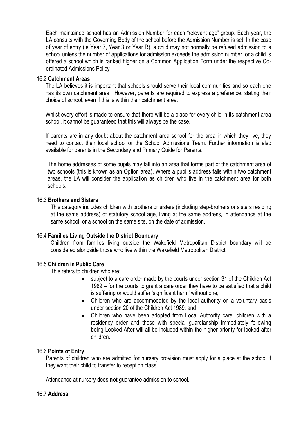Each maintained school has an Admission Number for each "relevant age" group. Each year, the LA consults with the Governing Body of the school before the Admission Number is set. In the case of year of entry (ie Year 7, Year 3 or Year R), a child may not normally be refused admission to a school unless the number of applications for admission exceeds the admission number, or a child is offered a school which is ranked higher on a Common Application Form under the respective Coordinated Admissions Policy

#### 16.2 **Catchment Areas**

The LA believes it is important that schools should serve their local communities and so each one has its own catchment area. However, parents are required to express a preference, stating their choice of school, even if this is within their catchment area.

Whilst every effort is made to ensure that there will be a place for every child in its catchment area school, it cannot be guaranteed that this will always be the case.

If parents are in any doubt about the catchment area school for the area in which they live, they need to contact their local school or the School Admissions Team. Further information is also available for parents in the Secondary and Primary Guide for Parents.

The home addresses of some pupils may fall into an area that forms part of the catchment area of two schools (this is known as an Option area). Where a pupil's address falls within two catchment areas, the LA will consider the application as children who live in the catchment area for both schools.

### 16.3 **Brothers and Sisters**

This category includes children with brothers or sisters (including step-brothers or sisters residing at the same address) of statutory school age, living at the same address, in attendance at the same school, or a school on the same site, on the date of admission.

# 16.4 **Families Living Outside the District Boundary**

Children from families living outside the Wakefield Metropolitan District boundary will be considered alongside those who live within the Wakefield Metropolitan District.

# 16.5 **Children in Public Care**

This refers to children who are:

- subject to a care order made by the courts under section 31 of the Children Act 1989 – for the courts to grant a care order they have to be satisfied that a child is suffering or would suffer 'significant harm' without one;
- Children who are accommodated by the local authority on a voluntary basis under section 20 of the Children Act 1989; and
- Children who have been adopted from Local Authority care, children with a residency order and those with special guardianship immediately following being Looked After will all be included within the higher priority for looked-after children.

# 16.6 **Points of Entry**

Parents of children who are admitted for nursery provision must apply for a place at the school if they want their child to transfer to reception class.

Attendance at nursery does **not** guarantee admission to school.

# 16.7 **Address**